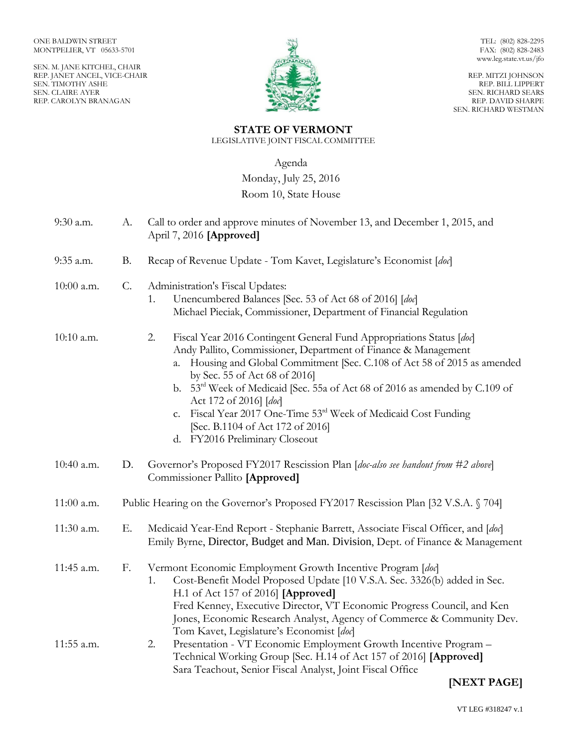SEN. M. JANE KITCHEL, CHAIR REP. JANET ANCEL, VICE-CHAIR SEN. TIMOTHY ASHE SEN. CLAIRE AYER REP. CAROLYN BRANAGAN



TEL: (802) 828-2295 FAX: (802) 828-2483 www.leg.state.vt.us/jfo

REP. MITZI JOHNSON REP. BILL LIPPERT SEN. RICHARD SEARS REP. DAVID SHARPE SEN. RICHARD WESTMAN

# **STATE OF VERMONT**

LEGISLATIVE JOINT FISCAL COMMITTEE

Agenda

Monday, July 25, 2016

## Room 10, State House

| 9:30 a.m.  | А.        | Call to order and approve minutes of November 13, and December 1, 2015, and<br>April 7, 2016 [Approved]                                                                                                                                                                                                                                                                                                                                                                                                                                    |
|------------|-----------|--------------------------------------------------------------------------------------------------------------------------------------------------------------------------------------------------------------------------------------------------------------------------------------------------------------------------------------------------------------------------------------------------------------------------------------------------------------------------------------------------------------------------------------------|
| 9:35 a.m.  | <b>B.</b> | Recap of Revenue Update - Tom Kavet, Legislature's Economist [doc]                                                                                                                                                                                                                                                                                                                                                                                                                                                                         |
| 10:00 a.m. | $C$ .     | Administration's Fiscal Updates:<br>Unencumbered Balances [Sec. 53 of Act 68 of 2016] [doc]<br>1.<br>Michael Pieciak, Commissioner, Department of Financial Regulation                                                                                                                                                                                                                                                                                                                                                                     |
| 10:10 a.m. |           | 2.<br>Fiscal Year 2016 Contingent General Fund Appropriations Status [doc]<br>Andy Pallito, Commissioner, Department of Finance & Management<br>Housing and Global Commitment [Sec. C.108 of Act 58 of 2015 as amended<br>a.<br>by Sec. 55 of Act 68 of 2016]<br>b. 53 <sup>rd</sup> Week of Medicaid [Sec. 55a of Act 68 of 2016 as amended by C.109 of<br>Act 172 of 2016] [doc]<br>Fiscal Year 2017 One-Time 53rd Week of Medicaid Cost Funding<br>C <sub>1</sub><br>[Sec. B.1104 of Act 172 of 2016]<br>d. FY2016 Preliminary Closeout |
| 10:40 a.m. | D.        | Governor's Proposed FY2017 Rescission Plan [doc-also see handout from #2 above]<br>Commissioner Pallito [Approved]                                                                                                                                                                                                                                                                                                                                                                                                                         |
| 11:00 a.m. |           | Public Hearing on the Governor's Proposed FY2017 Rescission Plan [32 V.S.A. § 704]                                                                                                                                                                                                                                                                                                                                                                                                                                                         |
| 11:30 a.m. | Ε.        | Medicaid Year-End Report - Stephanie Barrett, Associate Fiscal Officer, and [doc]<br>Emily Byrne, Director, Budget and Man. Division, Dept. of Finance & Management                                                                                                                                                                                                                                                                                                                                                                        |
| 11:45 a.m. | F.        | Vermont Economic Employment Growth Incentive Program [doc]<br>Cost-Benefit Model Proposed Update [10 V.S.A. Sec. 3326(b) added in Sec.<br>1.<br>H.1 of Act 157 of 2016] [Approved]<br>Fred Kenney, Executive Director, VT Economic Progress Council, and Ken<br>Jones, Economic Research Analyst, Agency of Commerce & Community Dev.<br>Tom Kavet, Legislature's Economist [doc]                                                                                                                                                          |
| 11:55 a.m. |           | Presentation - VT Economic Employment Growth Incentive Program -<br>2.<br>Technical Working Group [Sec. H.14 of Act 157 of 2016] [Approved]<br>Sara Teachout, Senior Fiscal Analyst, Joint Fiscal Office                                                                                                                                                                                                                                                                                                                                   |

# **[NEXT PAGE]**